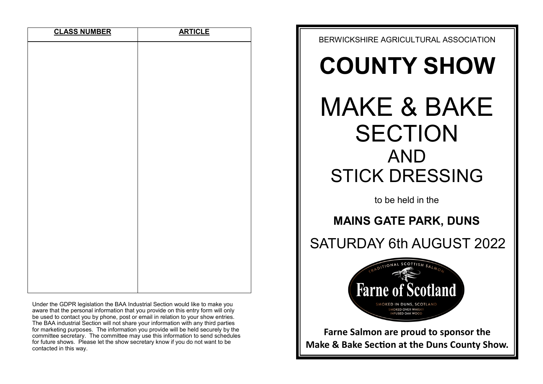| <b>CLASS NUMBER</b> | <b>ARTICLE</b> |
|---------------------|----------------|
|                     |                |
|                     |                |
|                     |                |
|                     |                |
|                     |                |
|                     |                |
|                     |                |
|                     |                |
|                     |                |
|                     |                |
|                     |                |
|                     |                |
|                     |                |
|                     |                |
|                     |                |
|                     |                |
|                     |                |
|                     |                |
|                     |                |
|                     |                |

Under the GDPR legislation the BAA Industrial Section would like to make you aware that the personal information that you provide on this entry form will only be used to contact you by phone, post or email in relation to your show entries. The BAA industrial Section will not share your information with any third parties for marketing purposes. The information you provide will be held securely by the committee secretary. The committee may use this information to send schedules for future shows. Please let the show secretary know if you do not want to be contacted in this way.



**Make & Bake Section at the Duns County Show.**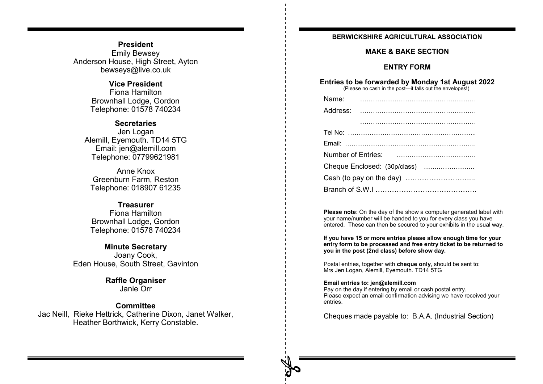# **President** Emily Bewsey Anderson House, High Street, Ayton bewseys@live.co.uk

# **Vice President**

Fiona Hamilton Brownhall Lodge, Gordon Telephone: 01578 740234

# **Secretaries**

Jen Logan Alemill, Eyemouth. TD14 5TG Email: jen@alemill.com Telephone: 07799621981

Anne Knox Greenburn Farm, Reston Telephone: 018907 61235

# **Treasurer**

Fiona Hamilton Brownhall Lodge, Gordon Telephone: 01578 740234

# **Minute Secretary** Joany Cook, Eden House, South Street, Gavinton

# **Raffle Organiser** Janie Orr

# **Committee**

Jac Neill, Rieke Hettrick, Catherine Dixon, Janet Walker, Heather Borthwick, Kerry Constable.

# **BERWICKSHIRE AGRICULTURAL ASSOCIATION**

# **MAKE & BAKE SECTION**

# **ENTRY FORM**

# **Entries to be forwarded by Monday 1st August 2022**

(Please no cash in the post—it falls out the envelopes!)

| Name:    |                              |
|----------|------------------------------|
| Address: |                              |
|          |                              |
|          |                              |
|          |                              |
|          |                              |
|          | Cheque Enclosed: (30p/class) |
|          |                              |
|          |                              |

**Please note**: On the day of the show a computer generated label with your name/number will be handed to you for every class you have entered. These can then be secured to your exhibits in the usual way.

**If you have 15 or more entries please allow enough time for your entry form to be processed and free entry ticket to be returned to you in the post (2nd class) before show day.**

Postal entries, together with **cheque only**, should be sent to: Mrs Jen Logan, Alemill, Eyemouth. TD14 5TG

## **Email entries to: jen@alemill.com**

Pay on the day if entering by email or cash postal entry. Please expect an email confirmation advising we have received your entries.

Cheques made payable to: B.A.A. (Industrial Section)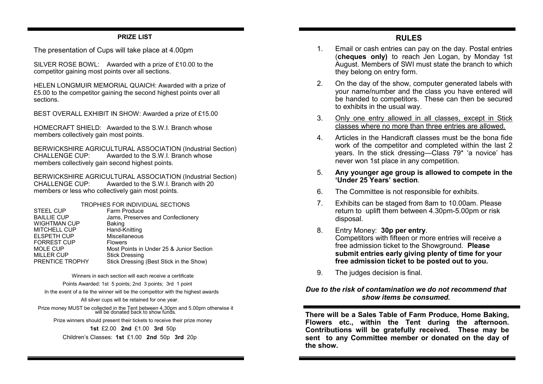## **PRIZE LIST**

The presentation of Cups will take place at 4.00pm

SILVER ROSE BOWL: Awarded with a prize of £10.00 to the competitor gaining most points over all sections.

HELEN LONGMUIR MEMORIAL QUAICH: Awarded with a prize of £5.00 to the competitor gaining the second highest points over all sections.

BEST OVERALL EXHIBIT IN SHOW: Awarded a prize of £15.00

HOMECRAFT SHIFLD: Awarded to the S.W.I. Branch whose members collectively gain most points.

BERWICKSHIRE AGRICULTURAL ASSOCIATION (Industrial Section)<br>CHALLENGE CUP: Awarded to the SWI Branch whose Awarded to the S.W.I. Branch whose members collectively gain second highest points.

BERWICKSHIRE AGRICULTURAL ASSOCIATION (Industrial Section)<br>CHALLENGE CUP: Awarded to the SWI Branch with 20 Awarded to the S.W.I. Branch with 20 members or less who collectively gain most points.

|                    | TROPHIES FOR INDIVIDUAL SECTIONS         |
|--------------------|------------------------------------------|
| <b>STEEL CUP</b>   | Farm Produce                             |
| <b>BAILLIE CUP</b> | Jams, Preserves and Confectionery        |
| WIGHTMAN CUP       | Baking                                   |
| MITCHELL CUP       | Hand-Knitting                            |
| <b>ELSPETH CUP</b> | Miscellaneous                            |
| <b>FORREST CUP</b> | <b>Flowers</b>                           |
| MOLE CUP           | Most Points in Under 25 & Junior Section |
| MILLER CUP         | <b>Stick Dressing</b>                    |
| PRENTICE TROPHY    | Stick Dressing (Best Stick in the Show)  |
|                    |                                          |

Winners in each section will each receive a certificate

Points Awarded: 1st 5 points; 2nd 3 points; 3rd 1 point

In the event of a tie the winner will be the competitor with the highest awards

All silver cups will be retained for one year.

Prize money MUST be collected in the Tent between 4.30pm and 5.00pm otherwise it will be donated back to show funds.

Prize winners should present their tickets to receive their prize money

**1st** £2.00 **2nd** £1.00 **3rd** 50p

Children's Classes: **1st** £1.00 **2nd** 50p **3rd** 20p

- 1. Email or cash entries can pay on the day. Postal entries (**cheques only)** to reach Jen Logan, by Monday 1st August. Members of SWI must state the branch to which they belong on entry form.
- 2. On the day of the show, computer generated labels with your name/number and the class you have entered will be handed to competitors. These can then be secured to exhibits in the usual way.
- 3. Only one entry allowed in all classes, except in Stick classes where no more than three entries are allowed.
- 4. Articles in the Handicraft classes must be the bona fide work of the competitor and completed within the last 2 years. In the stick dressing—Class 79\* 'a novice' has never won 1st place in any competition.
- 5. **Any younger age group is allowed to compete in the 'Under 25 Years' section**.
- 6. The Committee is not responsible for exhibits.
- 7. Exhibits can be staged from 8am to 10.00am. Please return to uplift them between 4.30pm-5.00pm or risk disposal.
- 8. Entry Money: **30p per entry**. Competitors with fifteen or more entries will receive a free admission ticket to the Showground. **Please submit entries early giving plenty of time for your free admission ticket to be posted out to you.**
- 9. The judges decision is final.

# *Due to the risk of contamination we do not recommend that show items be consumed.*

**There will be a Sales Table of Farm Produce, Home Baking, Flowers etc., within the Tent during the afternoon. Contributions will be gratefully received. These may be sent to any Committee member or donated on the day of the show.**